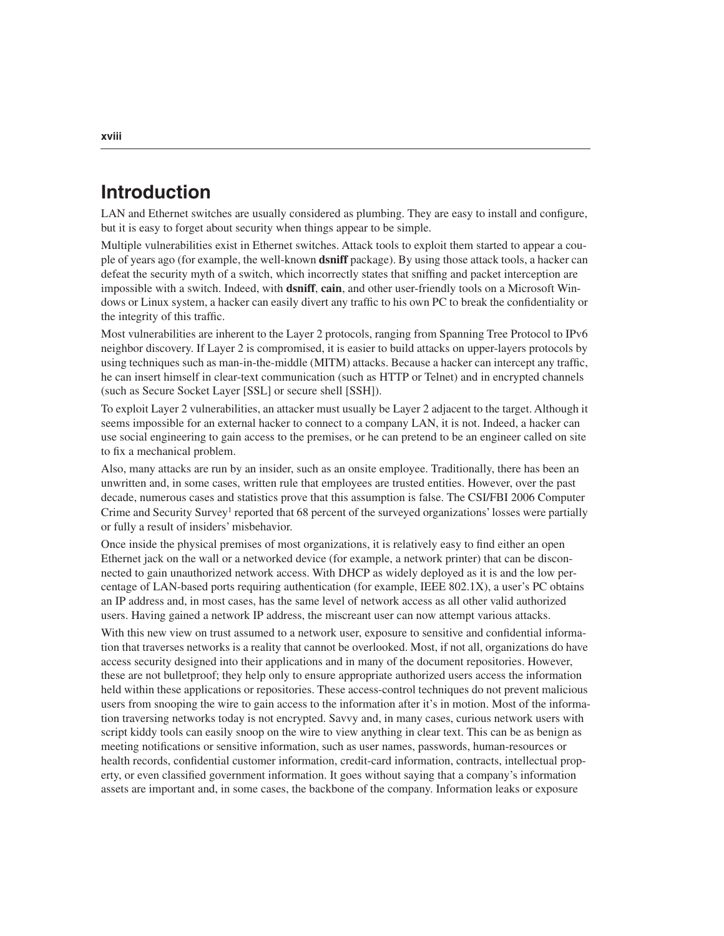# **Introduction**

LAN and Ethernet switches are usually considered as plumbing. They are easy to install and configure, but it is easy to forget about security when things appear to be simple.

Multiple vulnerabilities exist in Ethernet switches. Attack tools to exploit them started to appear a couple of years ago (for example, the well-known **dsniff** package). By using those attack tools, a hacker can defeat the security myth of a switch, which incorrectly states that sniffing and packet interception are impossible with a switch. Indeed, with **dsniff**, **cain**, and other user-friendly tools on a Microsoft Windows or Linux system, a hacker can easily divert any traffic to his own PC to break the confidentiality or the integrity of this traffic.

Most vulnerabilities are inherent to the Layer 2 protocols, ranging from Spanning Tree Protocol to IPv6 neighbor discovery. If Layer 2 is compromised, it is easier to build attacks on upper-layers protocols by using techniques such as man-in-the-middle (MITM) attacks. Because a hacker can intercept any traffic, he can insert himself in clear-text communication (such as HTTP or Telnet) and in encrypted channels (such as Secure Socket Layer [SSL] or secure shell [SSH]).

To exploit Layer 2 vulnerabilities, an attacker must usually be Layer 2 adjacent to the target. Although it seems impossible for an external hacker to connect to a company LAN, it is not. Indeed, a hacker can use social engineering to gain access to the premises, or he can pretend to be an engineer called on site to fix a mechanical problem.

Also, many attacks are run by an insider, such as an onsite employee. Traditionally, there has been an unwritten and, in some cases, written rule that employees are trusted entities. However, over the past decade, numerous cases and statistics prove that this assumption is false. The CSI/FBI 2006 Computer Crime and Security Survey<sup>1</sup> reported that 68 percent of the surveyed organizations' losses were partially or fully a result of insiders' misbehavior.

Once inside the physical premises of most organizations, it is relatively easy to find either an open Ethernet jack on the wall or a networked device (for example, a network printer) that can be disconnected to gain unauthorized network access. With DHCP as widely deployed as it is and the low percentage of LAN-based ports requiring authentication (for example, IEEE 802.1X), a user's PC obtains an IP address and, in most cases, has the same level of network access as all other valid authorized users. Having gained a network IP address, the miscreant user can now attempt various attacks.

With this new view on trust assumed to a network user, exposure to sensitive and confidential information that traverses networks is a reality that cannot be overlooked. Most, if not all, organizations do have access security designed into their applications and in many of the document repositories. However, these are not bulletproof; they help only to ensure appropriate authorized users access the information held within these applications or repositories. These access-control techniques do not prevent malicious users from snooping the wire to gain access to the information after it's in motion. Most of the information traversing networks today is not encrypted. Savvy and, in many cases, curious network users with script kiddy tools can easily snoop on the wire to view anything in clear text. This can be as benign as meeting notifications or sensitive information, such as user names, passwords, human-resources or health records, confidential customer information, credit-card information, contracts, intellectual property, or even classified government information. It goes without saying that a company's information assets are important and, in some cases, the backbone of the company. Information leaks or exposure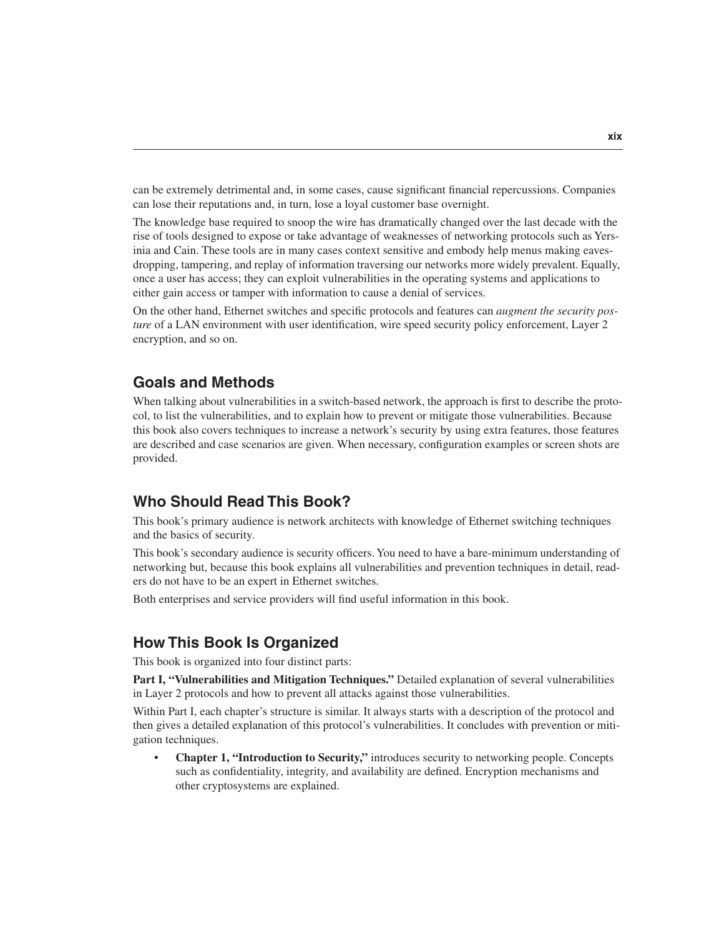can be extremely detrimental and, in some cases, cause significant financial repercussions. Companies can lose their reputations and, in turn, lose a loyal customer base overnight.

The knowledge base required to snoop the wire has dramatically changed over the last decade with the rise of tools designed to expose or take advantage of weaknesses of networking protocols such as Yersinia and Cain. These tools are in many cases context sensitive and embody help menus making eavesdropping, tampering, and replay of information traversing our networks more widely prevalent. Equally, once a user has access; they can exploit vulnerabilities in the operating systems and applications to either gain access or tamper with information to cause a denial of services.

On the other hand, Ethernet switches and specific protocols and features can *augment the security posture* of a LAN environment with user identification, wire speed security policy enforcement, Layer 2 encryption, and so on.

### **Goals and Methods**

When talking about vulnerabilities in a switch-based network, the approach is first to describe the protocol, to list the vulnerabilities, and to explain how to prevent or mitigate those vulnerabilities. Because this book also covers techniques to increase a network's security by using extra features, those features are described and case scenarios are given. When necessary, configuration examples or screen shots are provided.

## **Who Should Read This Book?**

This book's primary audience is network architects with knowledge of Ethernet switching techniques and the basics of security.

This book's secondary audience is security officers. You need to have a bare-minimum understanding of networking but, because this book explains all vulnerabilities and prevention techniques in detail, readers do not have to be an expert in Ethernet switches.

Both enterprises and service providers will find useful information in this book.

## **How This Book Is Organized**

This book is organized into four distinct parts:

**Part I, "Vulnerabilities and Mitigation Techniques."** Detailed explanation of several vulnerabilities in Layer 2 protocols and how to prevent all attacks against those vulnerabilities.

Within Part I, each chapter's structure is similar. It always starts with a description of the protocol and then gives a detailed explanation of this protocol's vulnerabilities. It concludes with prevention or mitigation techniques.

• **Chapter 1, "Introduction to Security,"** introduces security to networking people. Concepts such as confidentiality, integrity, and availability are defined. Encryption mechanisms and other cryptosystems are explained.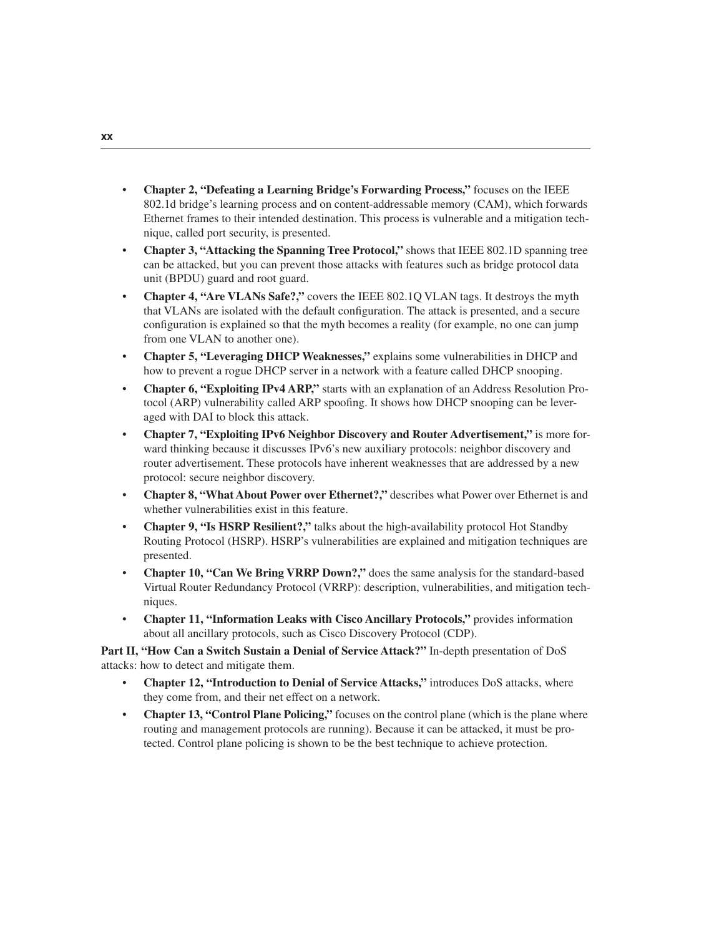- **Chapter 2, "Defeating a Learning Bridge's Forwarding Process,"** focuses on the IEEE 802.1d bridge's learning process and on content-addressable memory (CAM), which forwards Ethernet frames to their intended destination. This process is vulnerable and a mitigation technique, called port security, is presented.
- **Chapter 3, "Attacking the Spanning Tree Protocol,"** shows that IEEE 802.1D spanning tree can be attacked, but you can prevent those attacks with features such as bridge protocol data unit (BPDU) guard and root guard.
- **Chapter 4, "Are VLANs Safe?,"** covers the IEEE 802.1Q VLAN tags. It destroys the myth that VLANs are isolated with the default configuration. The attack is presented, and a secure configuration is explained so that the myth becomes a reality (for example, no one can jump from one VLAN to another one).
- **Chapter 5, "Leveraging DHCP Weaknesses,"** explains some vulnerabilities in DHCP and how to prevent a rogue DHCP server in a network with a feature called DHCP snooping.
- **Chapter 6, "Exploiting IPv4 ARP,"** starts with an explanation of an Address Resolution Protocol (ARP) vulnerability called ARP spoofing. It shows how DHCP snooping can be leveraged with DAI to block this attack.
- **Chapter 7, "Exploiting IPv6 Neighbor Discovery and Router Advertisement,"** is more forward thinking because it discusses IPv6's new auxiliary protocols: neighbor discovery and router advertisement. These protocols have inherent weaknesses that are addressed by a new protocol: secure neighbor discovery.
- **Chapter 8, "What About Power over Ethernet?,"** describes what Power over Ethernet is and whether vulnerabilities exist in this feature.
- **Chapter 9, "Is HSRP Resilient?,"** talks about the high-availability protocol Hot Standby Routing Protocol (HSRP). HSRP's vulnerabilities are explained and mitigation techniques are presented.
- **Chapter 10, "Can We Bring VRRP Down?,"** does the same analysis for the standard-based Virtual Router Redundancy Protocol (VRRP): description, vulnerabilities, and mitigation techniques.
- **Chapter 11, "Information Leaks with Cisco Ancillary Protocols,"** provides information about all ancillary protocols, such as Cisco Discovery Protocol (CDP).

**Part II, "How Can a Switch Sustain a Denial of Service Attack?"** In-depth presentation of DoS attacks: how to detect and mitigate them.

- **Chapter 12, "Introduction to Denial of Service Attacks,"** introduces DoS attacks, where they come from, and their net effect on a network.
- **Chapter 13, "Control Plane Policing,"** focuses on the control plane (which is the plane where routing and management protocols are running). Because it can be attacked, it must be protected. Control plane policing is shown to be the best technique to achieve protection.